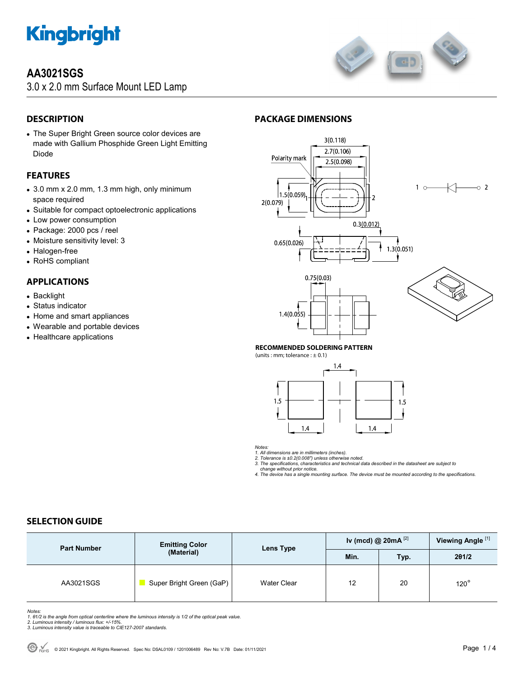

### **AA3021SGS**

3.0 x 2.0 mm Surface Mount LED Lamp



#### **DESCRIPTION**

 The Super Bright Green source color devices are made with Gallium Phosphide Green Light Emitting Diode

#### **FEATURES**

- 3.0 mm x 2.0 mm, 1.3 mm high, only minimum space required
- Suitable for compact optoelectronic applications
- Low power consumption
- Package: 2000 pcs / reel
- Moisture sensitivity level: 3
- Halogen-free
- RoHS compliant

#### **APPLICATIONS**

- Backlight
- Status indicator
- Home and smart appliances
- Wearable and portable devices
- Healthcare applications

#### **PACKAGE DIMENSIONS**



#### **RECOMMENDED SOLDERING PATTERN**

(units : mm; tolerance :  $\pm$  0.1)



*Notes:* 

*1. All dimensions are in millimeters (inches). 2. Tolerance is ±0.2(0.008") unless otherwise noted. 3. The specifications, characteristics and technical data described in the datasheet are subject to* 

 *change without prior notice. 4. The device has a single mounting surface. The device must be mounted according to the specifications.* 

#### **SELECTION GUIDE**

| <b>Part Number</b> | <b>Emitting Color</b><br>(Material) | Lens Type          | Iv (mcd) @ $20mA$ <sup>[2]</sup> |      | Viewing Angle <sup>[1]</sup> |
|--------------------|-------------------------------------|--------------------|----------------------------------|------|------------------------------|
|                    |                                     |                    | Min.                             | Typ. | 201/2                        |
| AA3021SGS          | Super Bright Green (GaP)            | <b>Water Clear</b> | 12                               | 20   | $120^\circ$                  |

Notes:<br>1. 81/2 is the angle from optical centerline where the luminous intensity is 1/2 of the optical peak value.<br>2. Luminous intensity / luminous flux: +/-15%.<br>3. Luminous intensity value is traceable to CIE127-2007 stan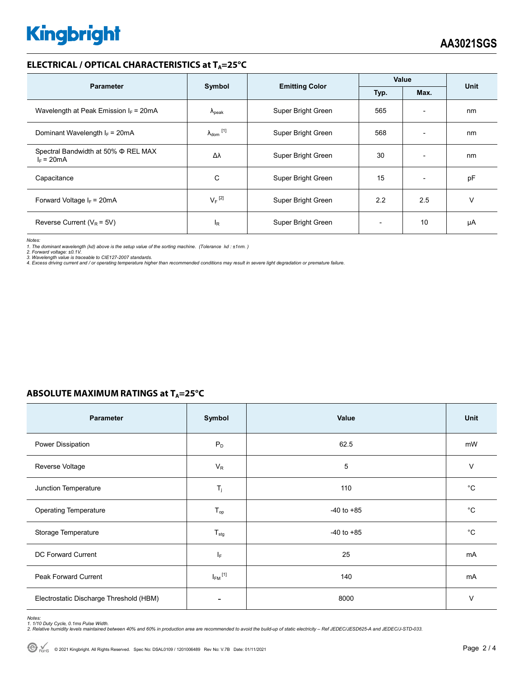# **Kingbright**

#### **ELECTRICAL / OPTICAL CHARACTERISTICS at TA=25°C**

| <b>Parameter</b>                                         | Symbol                     | <b>Emitting Color</b> | Value |                          | Unit |
|----------------------------------------------------------|----------------------------|-----------------------|-------|--------------------------|------|
|                                                          |                            |                       | Typ.  | Max.                     |      |
| Wavelength at Peak Emission $I_F$ = 20mA                 | $\Lambda_{\rm peak}$       | Super Bright Green    | 565   | $\overline{\phantom{0}}$ | nm   |
| Dominant Wavelength $I_F = 20mA$                         | $\lambda_{\text{dom}}$ [1] | Super Bright Green    | 568   | $\overline{\phantom{0}}$ | nm   |
| Spectral Bandwidth at 50% $\Phi$ REL MAX<br>$I_F = 20mA$ | Δλ                         | Super Bright Green    | 30    | $\overline{\phantom{0}}$ | nm   |
| Capacitance                                              | C                          | Super Bright Green    | 15    | $\overline{\phantom{0}}$ | pF   |
| Forward Voltage $I_F$ = 20mA                             | $V_F$ <sup>[2]</sup>       | Super Bright Green    | 2.2   | 2.5                      | v    |
| Reverse Current ( $V_R$ = 5V)                            | $I_R$                      | Super Bright Green    |       | 10                       | μA   |

*Notes:* 

*1. The dominant wavelength (*λ*d) above is the setup value of the sorting machine. (Tolerance* λ*d : ±1nm. )* 

2. Forward voltage: ±0.1V.<br>3. Wavelength value is traceable to CIE127-2007 standards.<br>4. Excess driving current and / or operating temperature higher than recommended conditions may result in severe light degradation or pr

#### **ABSOLUTE MAXIMUM RATINGS at TA=25°C**

| Parameter                               | Symbol                  | Value          | Unit        |
|-----------------------------------------|-------------------------|----------------|-------------|
| Power Dissipation                       | $P_D$                   | 62.5           | mW          |
| Reverse Voltage                         | $V_R$                   | 5              | $\vee$      |
| Junction Temperature                    | $T_j$                   | 110            | $^{\circ}C$ |
| <b>Operating Temperature</b>            | $T_{op}$                | $-40$ to $+85$ | $^{\circ}C$ |
| Storage Temperature                     | $T_{\text{stg}}$        | $-40$ to $+85$ | $^{\circ}C$ |
| DC Forward Current                      | IF.                     | 25             | mA          |
| Peak Forward Current                    | $I_{FM}$ <sup>[1]</sup> | 140            | mA          |
| Electrostatic Discharge Threshold (HBM) |                         | 8000           | $\vee$      |

Notes:<br>1. 1/10 Duty Cycle, 0.1ms Pulse Width.<br>2. Relative humidity levels maintained between 40% and 60% in production area are recommended to avoid the build-up of static electricity – Ref JEDEC/JESD625-A and JEDEC/J-STD-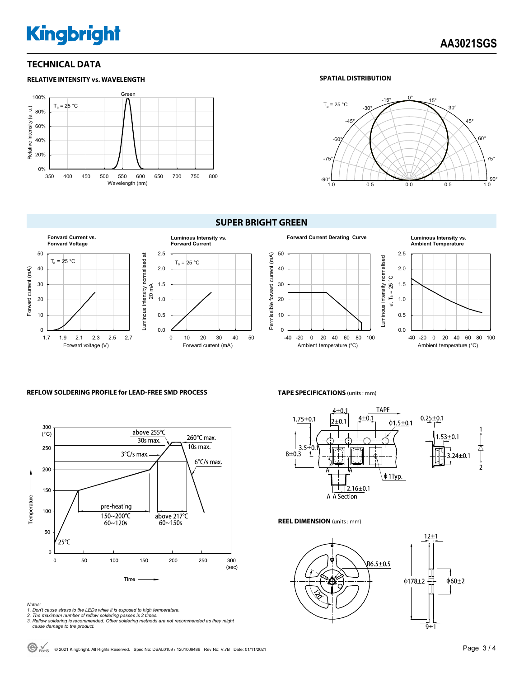# **Kingbright**

#### **TECHNICAL DATA**



#### **SPATIAL DISTRIBUTION**



#### **SUPER BRIGHT GREEN**





### **REFLOW SOLDERING PROFILE for LEAD-FREE SMD PROCESS**



- *Notes: 1. Don't cause stress to the LEDs while it is exposed to high temperature. 2. The maximum number of reflow soldering passes is 2 times.*
- 
- *3. Reflow soldering is recommended. Other soldering methods are not recommended as they might cause damage to the product.*

**TAPE SPECIFICATIONS** (units : mm)



#### **REEL DIMENSION** (units : mm)